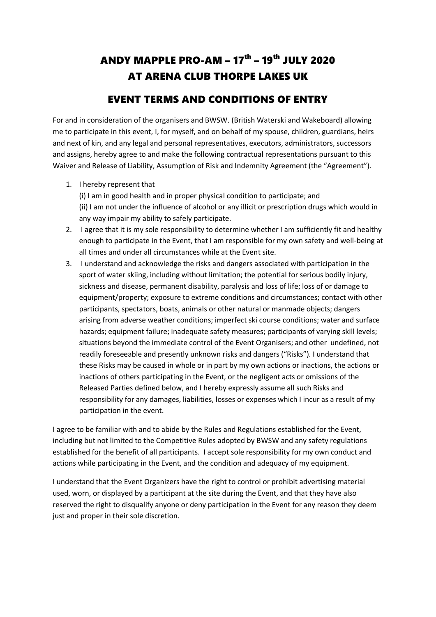## ANDY MAPPLE PRO-AM – 17<sup>th</sup> – 19<sup>th</sup> JULY 2020 AT ARENA CLUB THORPE LAKES UK

## EVENT TERMS AND CONDITIONS OF ENTRY

For and in consideration of the organisers and BWSW. (British Waterski and Wakeboard) allowing me to participate in this event, I, for myself, and on behalf of my spouse, children, guardians, heirs and next of kin, and any legal and personal representatives, executors, administrators, successors and assigns, hereby agree to and make the following contractual representations pursuant to this Waiver and Release of Liability, Assumption of Risk and Indemnity Agreement (the "Agreement").

1. I hereby represent that

(i) I am in good health and in proper physical condition to participate; and (ii) I am not under the influence of alcohol or any illicit or prescription drugs which would in any way impair my ability to safely participate.

- 2. I agree that it is my sole responsibility to determine whether I am sufficiently fit and healthy enough to participate in the Event, that I am responsible for my own safety and well-being at all times and under all circumstances while at the Event site.
- 3. I understand and acknowledge the risks and dangers associated with participation in the sport of water skiing, including without limitation; the potential for serious bodily injury, sickness and disease, permanent disability, paralysis and loss of life; loss of or damage to equipment/property; exposure to extreme conditions and circumstances; contact with other participants, spectators, boats, animals or other natural or manmade objects; dangers arising from adverse weather conditions; imperfect ski course conditions; water and surface hazards; equipment failure; inadequate safety measures; participants of varying skill levels; situations beyond the immediate control of the Event Organisers; and other undefined, not readily foreseeable and presently unknown risks and dangers ("Risks"). I understand that these Risks may be caused in whole or in part by my own actions or inactions, the actions or inactions of others participating in the Event, or the negligent acts or omissions of the Released Parties defined below, and I hereby expressly assume all such Risks and responsibility for any damages, liabilities, losses or expenses which I incur as a result of my participation in the event.

I agree to be familiar with and to abide by the Rules and Regulations established for the Event, including but not limited to the Competitive Rules adopted by BWSW and any safety regulations established for the benefit of all participants. I accept sole responsibility for my own conduct and actions while participating in the Event, and the condition and adequacy of my equipment.

I understand that the Event Organizers have the right to control or prohibit advertising material used, worn, or displayed by a participant at the site during the Event, and that they have also reserved the right to disqualify anyone or deny participation in the Event for any reason they deem just and proper in their sole discretion.